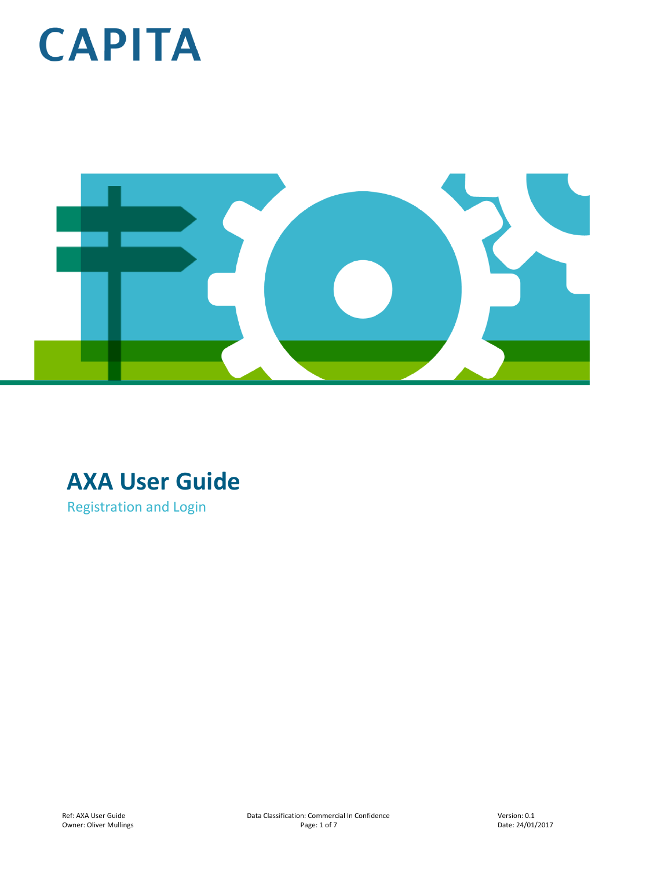



### **AXA User Guide**

Registration and Login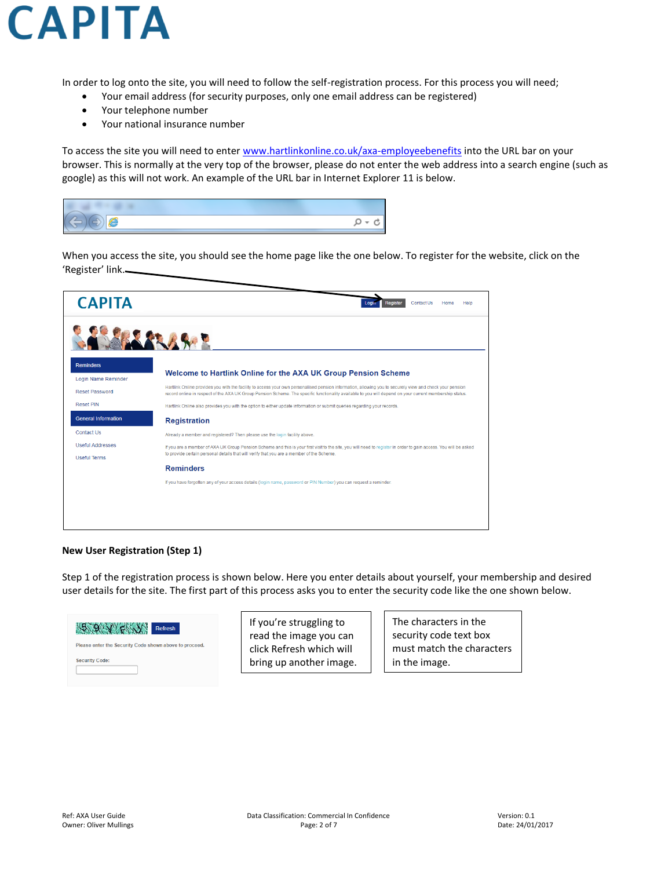

In order to log onto the site, you will need to follow the self-registration process. For this process you will need;

- Your email address (for security purposes, only one email address can be registered)
- Your telephone number
- Your national insurance number

To access the site you will need to enter [www.hartlinkonline.co.uk/axa-employeebenefits](http://www.hartlinkonline.co.uk/axa-employeebenefits) into the URL bar on your browser. This is normally at the very top of the browser, please do not enter the web address into a search engine (such as google) as this will not work. An example of the URL bar in Internet Explorer 11 is below.

When you access the site, you should see the home page like the one below. To register for the website, click on the 'Register' link.

| <b>CAPITA</b>                           | <b>Register</b><br>Login<br>Contact Us<br>Help<br>Home                                                                                                                                                                                                                                                              |
|-----------------------------------------|---------------------------------------------------------------------------------------------------------------------------------------------------------------------------------------------------------------------------------------------------------------------------------------------------------------------|
|                                         |                                                                                                                                                                                                                                                                                                                     |
| <b>Reminders</b><br>Login Name Reminder | Welcome to Hartlink Online for the AXA UK Group Pension Scheme                                                                                                                                                                                                                                                      |
| <b>Reset Password</b>                   | Hartlink Online provides you with the facility to access your own personalised pension information, allowing you to securely view and check your pension<br>record online in respect of the AXA UK Group Pension Scheme. The specific functionality available to you will depend on your current membership status. |
| <b>Reset PIN</b>                        | Hartlink Online also provides you with the option to either update information or submit queries regarding your records.                                                                                                                                                                                            |
| <b>General Information</b>              | <b>Registration</b>                                                                                                                                                                                                                                                                                                 |
| Contact Us                              | Already a member and registered? Then please use the login facility above.                                                                                                                                                                                                                                          |
| <b>Useful Addresses</b>                 | If you are a member of AXA UK Group Pension Scheme and this is your first visit to the site, you will need to register in order to gain access. You will be asked                                                                                                                                                   |
| <b>Useful Terms</b>                     | to provide certain personal details that will verify that you are a member of the Scheme.                                                                                                                                                                                                                           |
|                                         | <b>Reminders</b>                                                                                                                                                                                                                                                                                                    |
|                                         | If you have forgotten any of your access details (login name, password or PIN Number) you can request a reminder.                                                                                                                                                                                                   |
|                                         |                                                                                                                                                                                                                                                                                                                     |
|                                         |                                                                                                                                                                                                                                                                                                                     |
|                                         |                                                                                                                                                                                                                                                                                                                     |

#### **New User Registration (Step 1)**

Step 1 of the registration process is shown below. Here you enter details about yourself, your membership and desired user details for the site. The first part of this process asks you to enter the security code like the one shown below.



If you're struggling to read the image you can click Refresh which will bring up another image. The characters in the security code text box must match the characters in the image.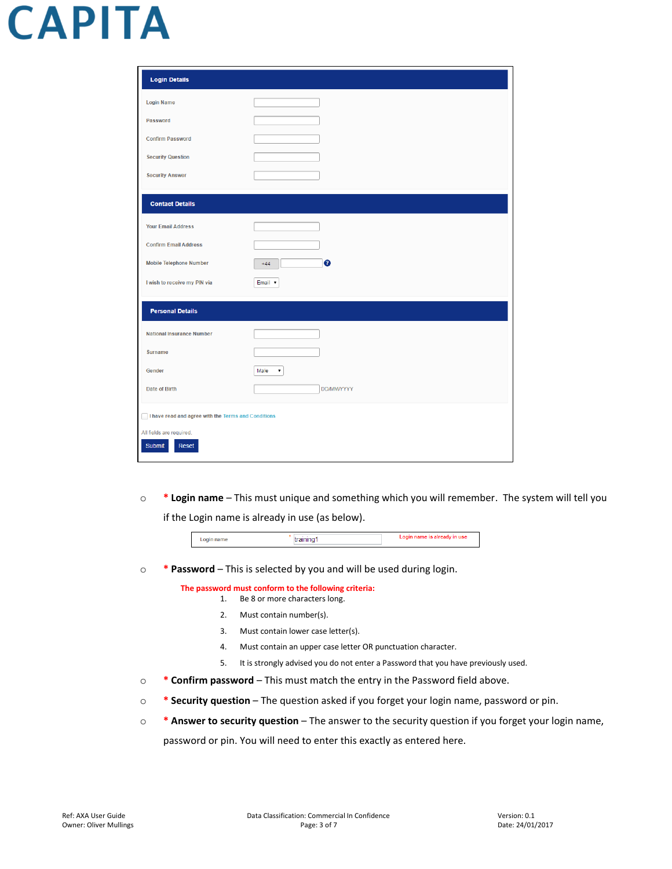| <b>Login Details</b>                                |            |
|-----------------------------------------------------|------------|
| <b>Login Name</b>                                   |            |
| Password                                            |            |
| <b>Confirm Password</b>                             |            |
| <b>Security Question</b>                            |            |
| <b>Security Answer</b>                              |            |
| <b>Contact Details</b>                              |            |
| <b>Your Email Address</b>                           |            |
| <b>Confirm Email Address</b>                        |            |
| <b>Mobile Telephone Number</b>                      | ø<br>$+44$ |
| I wish to receive my PIN via                        | Email v    |
| <b>Personal Details</b>                             |            |
| <b>National Insurance Number</b>                    |            |
| <b>Surname</b>                                      |            |
| Gender                                              | Male<br>٧. |
| <b>Date of Birth</b>                                | DD/MM/YYYY |
| I have read and agree with the Terms and Conditions |            |
| All fields are required.                            |            |
| Reset<br>Submit                                     |            |

o **\* Login name** – This must unique and something which you will remember. The system will tell you if the Login name is already in use (as below).

| m<br>Lug<br> | -- |
|--------------|----|
|              |    |

o **\* Password** – This is selected by you and will be used during login.

**The password must conform to the following criteria:**

- 1. Be 8 or more characters long.
- 2. Must contain number(s).
- 3. Must contain lower case letter(s).
- 4. Must contain an upper case letter OR punctuation character.
- 5. It is strongly advised you do not enter a Password that you have previously used.
- o **\* Confirm password**  This must match the entry in the Password field above.
- o **\* Security question** The question asked if you forget your login name, password or pin.
- o **\* Answer to security question** The answer to the security question if you forget your login name,

password or pin. You will need to enter this exactly as entered here.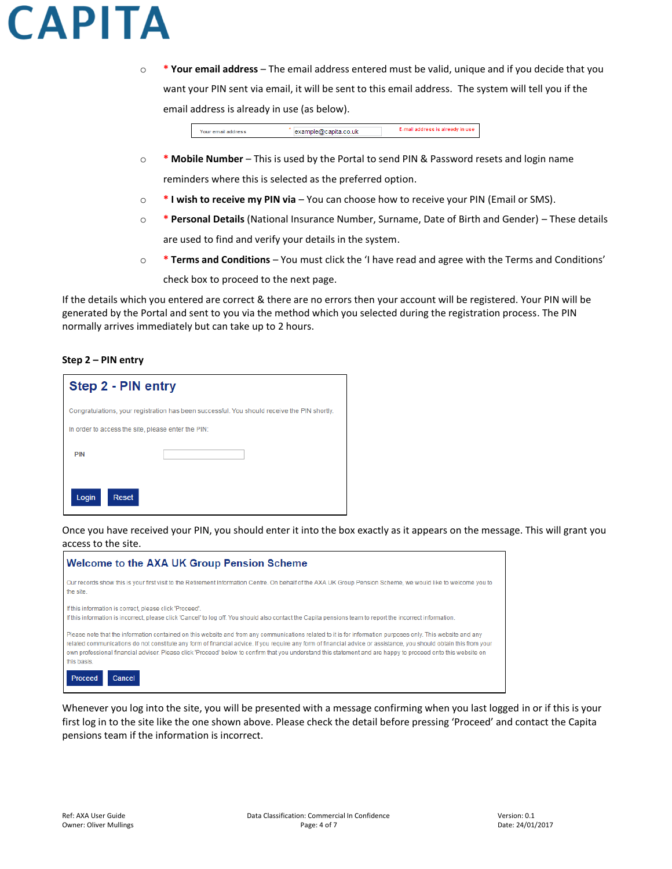o **\* Your email address** – The email address entered must be valid, unique and if you decide that you want your PIN sent via email, it will be sent to this email address. The system will tell you if the email address is already in use (as below).

> Your email address example@capita.co.uk E-mail address is already in use

- o **\* Mobile Number**  This is used by the Portal to send PIN & Password resets and login name reminders where this is selected as the preferred option.
- o **\* I wish to receive my PIN via** You can choose how to receive your PIN (Email or SMS).
- o **\* Personal Details** (National Insurance Number, Surname, Date of Birth and Gender) These details are used to find and verify your details in the system.
- o **\* Terms and Conditions** You must click the 'I have read and agree with the Terms and Conditions' check box to proceed to the next page.

If the details which you entered are correct & there are no errors then your account will be registered. Your PIN will be generated by the Portal and sent to you via the method which you selected during the registration process. The PIN normally arrives immediately but can take up to 2 hours.

#### **Step 2 – PIN entry**

| Step 2 - PIN entry                                 |                                                                                             |
|----------------------------------------------------|---------------------------------------------------------------------------------------------|
|                                                    | Congratulations, your registration has been successful. You should receive the PIN shortly. |
| In order to access the site, please enter the PIN: |                                                                                             |
| <b>PIN</b>                                         |                                                                                             |
| Reset<br>Login                                     |                                                                                             |

Once you have received your PIN, you should enter it into the box exactly as it appears on the message. This will grant you access to the site.



Whenever you log into the site, you will be presented with a message confirming when you last logged in or if this is your first log in to the site like the one shown above. Please check the detail before pressing 'Proceed' and contact the Capita pensions team if the information is incorrect.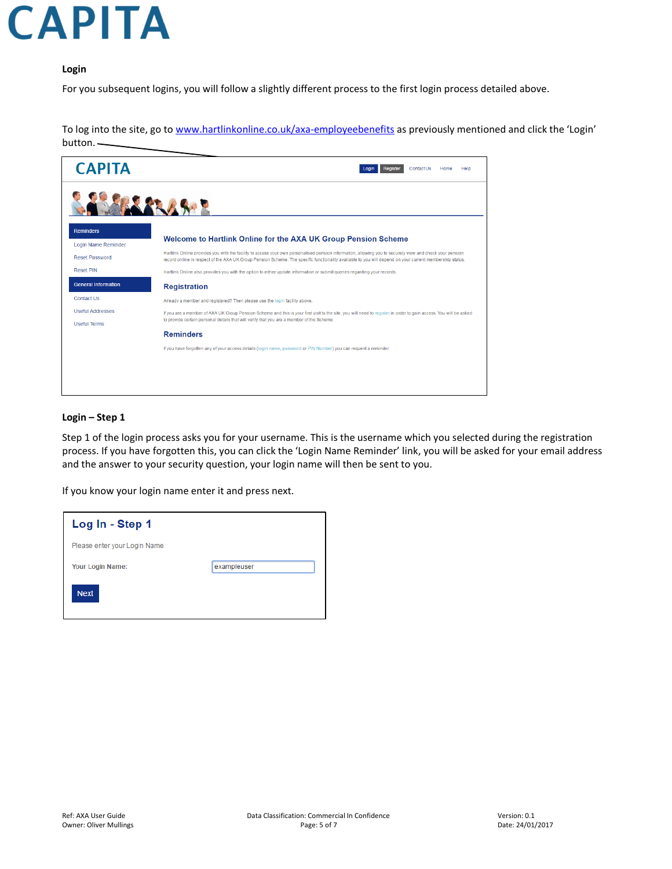#### **Login**

For you subsequent logins, you will follow a slightly different process to the first login process detailed above.

To log into the site, go to [www.hartlinkonline.co.uk/axa-employeebenefits](http://www.hartlinkonline.co.uk/axa-employeebenefits) as previously mentioned and click the 'Login' button.

| <b>CAPITA</b>                           | Contact Us<br><b>Register</b><br>Home<br>Help<br>Login                                                                                                                                                                                                                                                              |
|-----------------------------------------|---------------------------------------------------------------------------------------------------------------------------------------------------------------------------------------------------------------------------------------------------------------------------------------------------------------------|
|                                         |                                                                                                                                                                                                                                                                                                                     |
| <b>Reminders</b><br>Login Name Reminder | Welcome to Hartlink Online for the AXA UK Group Pension Scheme                                                                                                                                                                                                                                                      |
| <b>Reset Password</b>                   | Hartlink Online provides you with the facility to access your own personalised pension information, allowing you to securely view and check your pension<br>record online in respect of the AXA UK Group Pension Scheme. The specific functionality available to you will depend on your current membership status. |
| <b>Reset PIN</b>                        | Hartlink Online also provides you with the option to either update information or submit queries regarding your records.                                                                                                                                                                                            |
| <b>General Information</b>              | <b>Registration</b>                                                                                                                                                                                                                                                                                                 |
| Contact Us                              | Already a member and registered? Then please use the login facility above.                                                                                                                                                                                                                                          |
| <b>Useful Addresses</b>                 | If you are a member of AXA UK Group Pension Scheme and this is your first visit to the site, you will need to register in order to gain access. You will be asked                                                                                                                                                   |
| <b>Useful Terms</b>                     | to provide certain personal details that will verify that you are a member of the Scheme.                                                                                                                                                                                                                           |
|                                         | <b>Reminders</b>                                                                                                                                                                                                                                                                                                    |
|                                         | If you have forgotten any of your access details (login name, password or PIN Number) you can request a reminder.                                                                                                                                                                                                   |
|                                         |                                                                                                                                                                                                                                                                                                                     |
|                                         |                                                                                                                                                                                                                                                                                                                     |
|                                         |                                                                                                                                                                                                                                                                                                                     |

#### **Login – Step 1**

Step 1 of the login process asks you for your username. This is the username which you selected during the registration process. If you have forgotten this, you can click the 'Login Name Reminder' link, you will be asked for your email address and the answer to your security question, your login name will then be sent to you.

If you know your login name enter it and press next.

| Log In - Step 1              |             |
|------------------------------|-------------|
| Please enter your Login Name |             |
| <b>Your Login Name:</b>      | exampleuser |
| <b>Next</b>                  |             |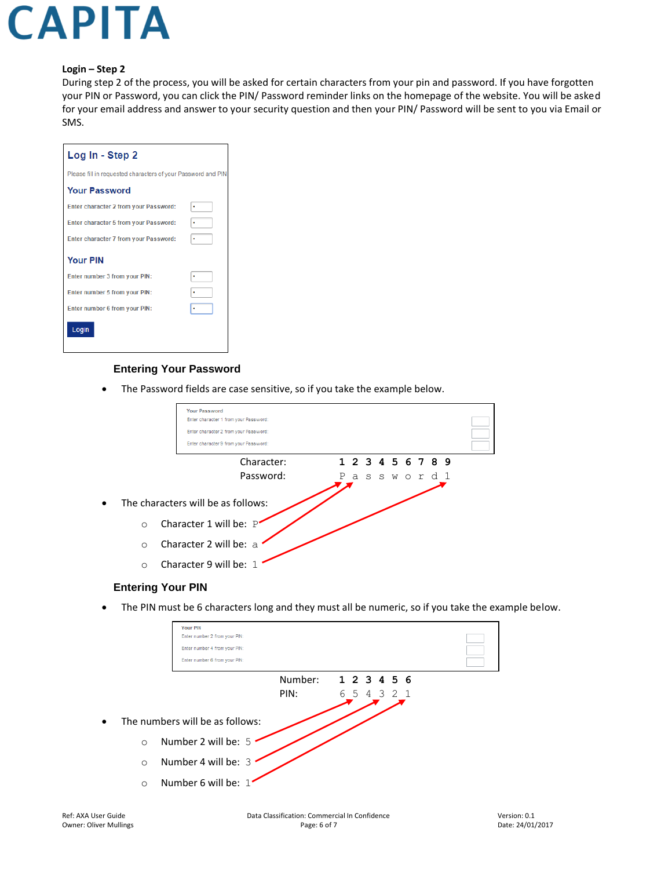#### **Login – Step 2**

During step 2 of the process, you will be asked for certain characters from your pin and password. If you have forgotten your PIN or Password, you can click the PIN/ Password reminder links on the homepage of the website. You will be asked for your email address and answer to your security question and then your PIN/ Password will be sent to you via Email or SMS.

| Log In - Step 2                                              |  |
|--------------------------------------------------------------|--|
| Please fill in requested characters of your Password and PIN |  |
| <b>Your Password</b>                                         |  |
| Enter character 2 from your Password:                        |  |
| Enter character 5 from your Password:                        |  |
| Enter character 7 from your Password:                        |  |
| <b>Your PIN</b>                                              |  |
| Enter number 3 from your PIN:                                |  |
| Enter number 5 from your PIN:                                |  |
| Enter number 6 from your PIN:                                |  |
| Login                                                        |  |

#### **Entering Your Password**

The Password fields are case sensitive, so if you take the example below.



#### **Entering Your PIN**

• The PIN must be 6 characters long and they must all be numeric, so if you take the example below.